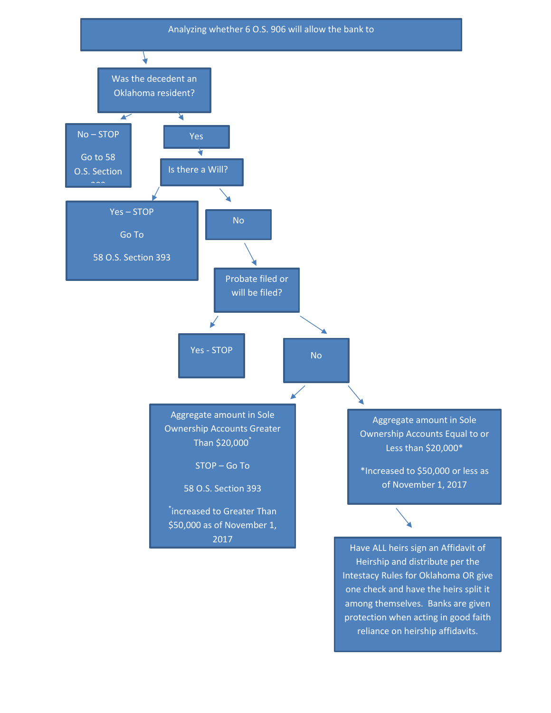

Intestacy Rules for Oklahoma OR give one check and have the heirs split it among themselves. Banks are given protection when acting in good faith reliance on heirship affidavits.